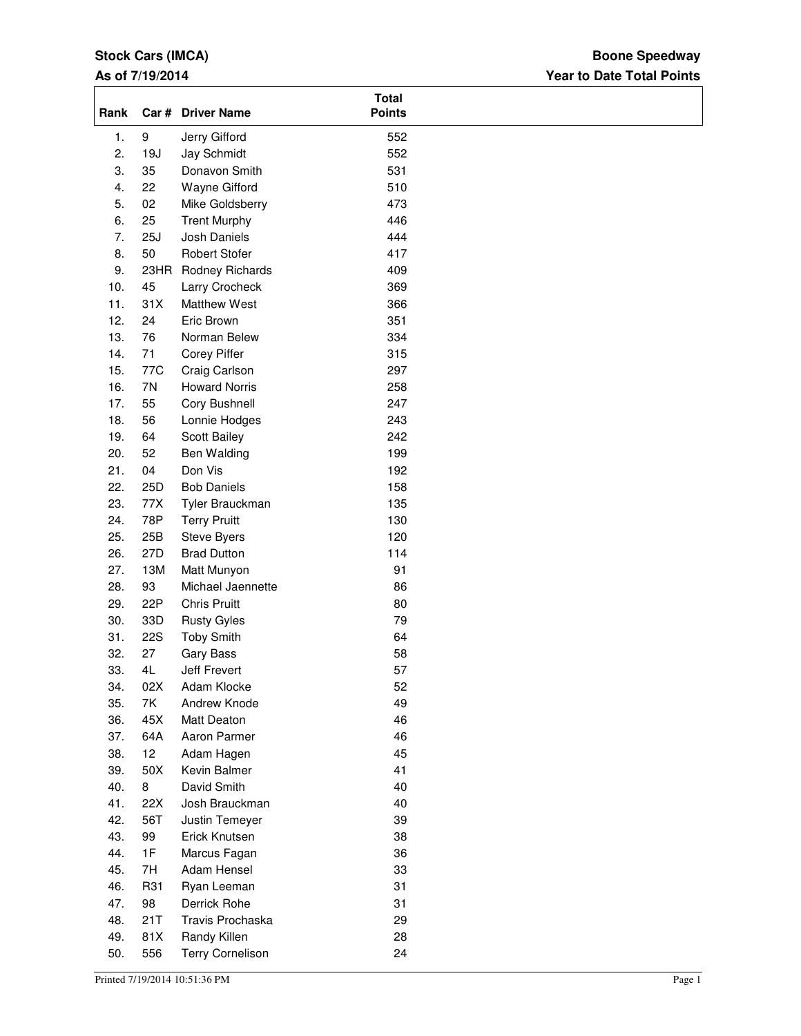# **Stock Cars (IMCA)**

# **As of 7/19/2014**

# **Year to Date Total Points Boone Speedway**

| Rank |            | Car # Driver Name       | <b>Total</b><br><b>Points</b> |  |
|------|------------|-------------------------|-------------------------------|--|
| 1.   | 9          | Jerry Gifford           | 552                           |  |
| 2.   | 19J        | Jay Schmidt             | 552                           |  |
| 3.   | 35         | Donavon Smith           | 531                           |  |
| 4.   | 22         | Wayne Gifford           | 510                           |  |
| 5.   | 02         | Mike Goldsberry         | 473                           |  |
| 6.   | 25         | <b>Trent Murphy</b>     | 446                           |  |
| 7.   | 25J        | Josh Daniels            | 444                           |  |
| 8.   | 50         | <b>Robert Stofer</b>    | 417                           |  |
| 9.   | 23HR       | Rodney Richards         | 409                           |  |
| 10.  | 45         | Larry Crocheck          | 369                           |  |
| 11.  | 31X        | <b>Matthew West</b>     | 366                           |  |
| 12.  | 24         | Eric Brown              | 351                           |  |
| 13.  | 76         | Norman Belew            | 334                           |  |
| 14.  | 71         | Corey Piffer            | 315                           |  |
| 15.  | 77C        | Craig Carlson           | 297                           |  |
| 16.  | 7N         | <b>Howard Norris</b>    | 258                           |  |
| 17.  | 55         | Cory Bushnell           | 247                           |  |
| 18.  | 56         | Lonnie Hodges           | 243                           |  |
| 19.  | 64         | Scott Bailey            | 242                           |  |
| 20.  | 52         | Ben Walding             | 199                           |  |
| 21.  | 04         | Don Vis                 | 192                           |  |
| 22.  | 25D        | <b>Bob Daniels</b>      | 158                           |  |
| 23.  | 77X        | Tyler Brauckman         | 135                           |  |
| 24.  | 78P        | <b>Terry Pruitt</b>     | 130                           |  |
| 25.  | 25B        | Steve Byers             | 120                           |  |
| 26.  | 27D        | <b>Brad Dutton</b>      | 114                           |  |
| 27.  | 13M        | Matt Munyon             | 91                            |  |
| 28.  | 93         | Michael Jaennette       | 86                            |  |
| 29.  | 22P        | <b>Chris Pruitt</b>     | 80                            |  |
| 30.  | 33D        | <b>Rusty Gyles</b>      | 79                            |  |
| 31.  | <b>22S</b> | <b>Toby Smith</b>       | 64                            |  |
| 32.  | 27         | <b>Gary Bass</b>        | 58                            |  |
| 33.  | 4L         | Jeff Frevert            | 57                            |  |
| 34.  | 02X        | Adam Klocke             | 52                            |  |
| 35.  | 7K         | Andrew Knode            | 49                            |  |
| 36.  | 45X        | Matt Deaton             | 46                            |  |
| 37.  | 64A        | Aaron Parmer            | 46                            |  |
| 38.  | 12         | Adam Hagen              | 45                            |  |
| 39.  | 50X        | Kevin Balmer            | 41                            |  |
| 40.  | 8          | David Smith             | 40                            |  |
| 41.  | 22X        | Josh Brauckman          | 40                            |  |
| 42.  | 56T        | Justin Temeyer          | 39                            |  |
| 43.  | 99         | Erick Knutsen           | 38                            |  |
| 44.  | 1F         | Marcus Fagan            | 36                            |  |
| 45.  | 7H         | Adam Hensel             | 33                            |  |
| 46.  | R31        | Ryan Leeman             | 31                            |  |
| 47.  | 98         | Derrick Rohe            | 31                            |  |
| 48.  | 21T        | Travis Prochaska        | 29                            |  |
| 49.  | 81X        | Randy Killen            | 28                            |  |
| 50.  | 556        | <b>Terry Cornelison</b> | 24                            |  |